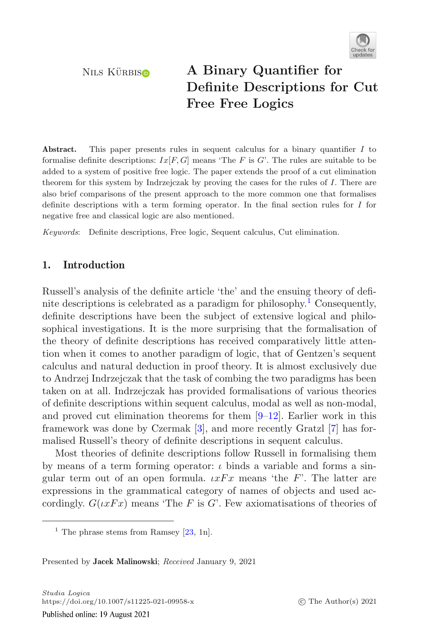

# NILS KÜRBIS **A Binary Quantifier for**<br>**Definite De[s](http://orcid.org/0000-0002-3651-5458)criptions for Cut Free Free Logics Free Free Logics**

**Abstract.** This paper presents rules in sequent calculus for a binary quantifier *I* to formalise definite descriptions:  $Ix[F, G]$  means 'The *F* is *G*'. The rules are suitable to be added to a system of positive free logic. The paper extends the proof of a cut elimination theorem for this system by Indrzejczak by proving the cases for the rules of *I*. There are also brief comparisons of the present approach to the more common one that formalises definite descriptions with a term forming operator. In the final section rules for *I* for negative free and classical logic are also mentioned.

*Keywords*: Definite descriptions, Free logic, Sequent calculus, Cut elimination.

# **1. Introduction**

Russell's analysis of the definite article 'the' and the ensuing theory of definite descriptions is celebrated as a paradigm for philosophy.<sup>1</sup> Consequently, definite descriptions have been the subject of extensive logical and philosophical investigations. It is the more surprising that the formalisation of the theory of definite descriptions has received comparatively little attention when it comes to another paradigm of logic, that of Gentzen's sequent calculus and natural deduction in proof theory. It is almost exclusively due to Andrzej Indrzejczak that the task of combing the two paradigms has been taken on at all. Indrzejczak has provided formalisations of various theories of definite descriptions within sequent calculus, modal as well as non-modal, and proved cut elimination theorems for them  $[9-12]$  $[9-12]$ . Earlier work in this framework was done by Czermak [\[3\]](#page-19-2), and more recently Gratzl [\[7\]](#page-19-3) has formalised Russell's theory of definite descriptions in sequent calculus.

Most theories of definite descriptions follow Russell in formalising them by means of a term forming operator:  $\iota$  binds a variable and forms a singular term out of an open formula.  $\iota xFx$  means 'the F'. The latter are expressions in the grammatical category of names of objects and used accordingly.  $G(\iota xFx)$  means 'The F is G'. Few axiomatisations of theories of

<sup>&</sup>lt;sup>1</sup> The phrase stems from Ramsey  $[23, 1n]$  $[23, 1n]$ .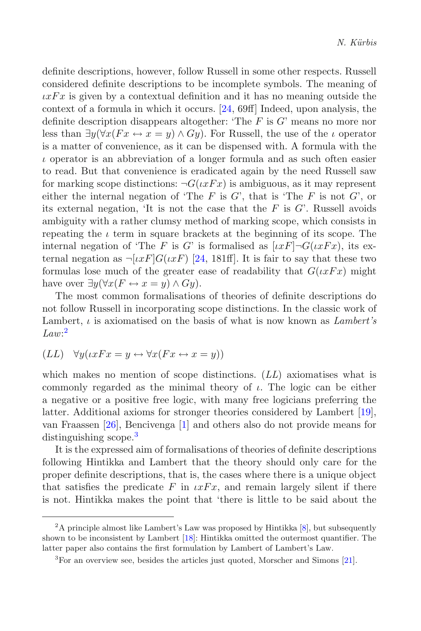definite descriptions, however, follow Russell in some other respects. Russell considered definite descriptions to be incomplete symbols. The meaning of  $\iota xFx$  is given by a contextual definition and it has no meaning outside the context of a formula in which it occurs. [\[24,](#page-20-1) 69ff] Indeed, upon analysis, the definite description disappears altogether: 'The  $F$  is  $G'$  means no more nor less than  $\exists y(\forall x(Fx \leftrightarrow x=y) \land Gy)$ . For Russell, the use of the *ι* operator is a matter of convenience, as it can be dispensed with. A formula with the  $\iota$  operator is an abbreviation of a longer formula and as such often easier to read. But that convenience is eradicated again by the need Russell saw for marking scope distinctions:  $\neg G(\iota x F x)$  is ambiguous, as it may represent either the internal negation of 'The  $F$  is  $G'$ , that is 'The  $F$  is not  $G'$ , or its external negation, 'It is not the case that the  $F$  is  $G'$ . Russell avoids ambiguity with a rather clumsy method of marking scope, which consists in repeating the  $\iota$  term in square brackets at the beginning of its scope. The internal negation of 'The F is G' is formalised as  $[\iota xF] \neg G(\iota xFx)$ , its external negation as  $\neg [u \in F] G(u \in F)$  [\[24,](#page-20-1) 181ff]. It is fair to say that these two formulas lose much of the greater ease of readability that  $G(\iota xFx)$  might have over  $\exists y (\forall x (F \leftrightarrow x = y) \land Gy)$ .

The most common formalisations of theories of definite descriptions do not follow Russell in incorporating scope distinctions. In the classic work of Lambert, ι is axiomatised on the basis of what is now known as *Lambert's Law*: [2](#page-1-0)

$$
(LL) \quad \forall y ( \iota x Fx = y \leftrightarrow \forall x (Fx \leftrightarrow x = y))
$$

which makes no mention of scope distinctions. (*LL*) axiomatises what is commonly regarded as the minimal theory of  $\iota$ . The logic can be either a negative or a positive free logic, with many free logicians preferring the latter. Additional axioms for stronger theories considered by Lambert [\[19](#page-20-2)], van Fraassen [\[26\]](#page-20-3), Bencivenga [\[1](#page-19-4)] and others also do not provide means for distinguishing scope.<sup>[3](#page-1-1)</sup>

It is the expressed aim of formalisations of theories of definite descriptions following Hintikka and Lambert that the theory should only care for the proper definite descriptions, that is, the cases where there is a unique object that satisfies the predicate F in  $\iota xFx$ , and remain largely silent if there is not. Hintikka makes the point that 'there is little to be said about the

<span id="page-1-0"></span> $2A$  principle almost like Lambert's Law was proposed by Hintikka  $[8]$ , but subsequently shown to be inconsistent by Lambert [\[18](#page-20-4)]: Hintikka omitted the outermost quantifier. The latter paper also contains the first formulation by Lambert of Lambert's Law.

<span id="page-1-1"></span> ${}^{3}$ For an overview see, besides the articles just quoted, Morscher and Simons [\[21](#page-20-5)].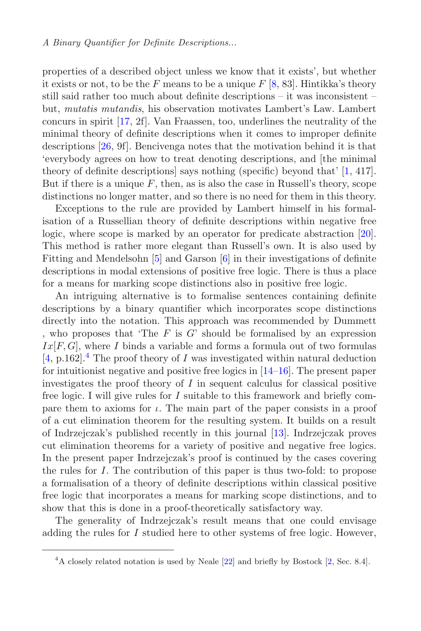properties of a described object unless we know that it exists', but whether it exists or not, to be the F means to be a unique  $F$  [\[8,](#page-19-5) 83]. Hintikka's theory still said rather too much about definite descriptions – it was inconsistent – but, *mutatis mutandis*, his observation motivates Lambert's Law. Lambert concurs in spirit [\[17,](#page-20-6) 2f]. Van Fraassen, too, underlines the neutrality of the minimal theory of definite descriptions when it comes to improper definite descriptions [\[26,](#page-20-3) 9f]. Bencivenga notes that the motivation behind it is that 'everybody agrees on how to treat denoting descriptions, and [the minimal theory of definite descriptions] says nothing (specific) beyond that' [\[1](#page-19-4), 417]. But if there is a unique  $F$ , then, as is also the case in Russell's theory, scope distinctions no longer matter, and so there is no need for them in this theory.

Exceptions to the rule are provided by Lambert himself in his formalisation of a Russellian theory of definite descriptions within negative free logic, where scope is marked by an operator for predicate abstraction [\[20](#page-20-7)]. This method is rather more elegant than Russell's own. It is also used by Fitting and Mendelsohn [\[5\]](#page-19-6) and Garson [\[6](#page-19-7)] in their investigations of definite descriptions in modal extensions of positive free logic. There is thus a place for a means for marking scope distinctions also in positive free logic.

An intriguing alternative is to formalise sentences containing definite descriptions by a binary quantifier which incorporates scope distinctions directly into the notation. This approach was recommended by Dummett , who proposes that 'The  $F$  is  $G$ ' should be formalised by an expression  $Ix[F, G]$ , where I binds a variable and forms a formula out of two formulas  $[4, p.162]$  $[4, p.162]$ .<sup>[4](#page-2-0)</sup> The proof theory of I was investigated within natural deduction for intuitionist negative and positive free logics in [\[14](#page-20-8)[–16\]](#page-20-9). The present paper investigates the proof theory of  $I$  in sequent calculus for classical positive free logic. I will give rules for  $I$  suitable to this framework and briefly compare them to axioms for  $\iota$ . The main part of the paper consists in a proof of a cut elimination theorem for the resulting system. It builds on a result of Indrzejczak's published recently in this journal [\[13\]](#page-19-9). Indrzejczak proves cut elimination theorems for a variety of positive and negative free logics. In the present paper Indrzejczak's proof is continued by the cases covering the rules for I. The contribution of this paper is thus two-fold: to propose a formalisation of a theory of definite descriptions within classical positive free logic that incorporates a means for marking scope distinctions, and to show that this is done in a proof-theoretically satisfactory way.

The generality of Indrzejczak's result means that one could envisage adding the rules for I studied here to other systems of free logic. However,

<span id="page-2-0"></span> $4A$  closely related notation is used by Neale  $[22]$  and briefly by Bostock  $[2,$  Sec. 8.4].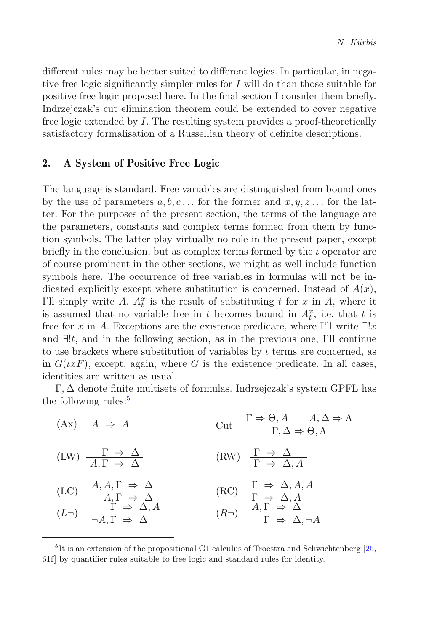different rules may be better suited to different logics. In particular, in negative free logic significantly simpler rules for  $I$  will do than those suitable for positive free logic proposed here. In the final section I consider them briefly. Indrzejczak's cut elimination theorem could be extended to cover negative free logic extended by I. The resulting system provides a proof-theoretically satisfactory formalisation of a Russellian theory of definite descriptions.

# **2. A System of Positive Free Logic**

The language is standard. Free variables are distinguished from bound ones by the use of parameters  $a, b, c \dots$  for the former and  $x, y, z \dots$  for the latter. For the purposes of the present section, the terms of the language are the parameters, constants and complex terms formed from them by function symbols. The latter play virtually no role in the present paper, except briefly in the conclusion, but as complex terms formed by the  $\iota$  operator are of course prominent in the other sections, we might as well include function symbols here. The occurrence of free variables in formulas will not be indicated explicitly except where substitution is concerned. Instead of  $A(x)$ , I'll simply write A.  $A_t^x$  is the result of substituting t for x in A, where it is assumed that no variable free in t becomes bound in  $A_t^x$ , i.e. that t is free for x in A. Exceptions are the existence predicate, where I'll write  $\exists !x$ and  $\exists !t$ , and in the following section, as in the previous one, I'll continue to use brackets where substitution of variables by  $\iota$  terms are concerned, as in  $G(\iota x F)$ , except, again, where G is the existence predicate. In all cases, identities are written as usual.

 $\Gamma, \Delta$  denote finite multisets of formulas. Indrzejczak's system GPFL has the following rules:<sup>[5](#page-3-0)</sup>

(Ax)  $A \Rightarrow A$  Cut  $\frac{\Gamma \Rightarrow \Theta, A \quad A, \Delta \Rightarrow \Lambda}{\Gamma, \Delta \Rightarrow \Theta, \Lambda}$ (LW)  $\frac{\Gamma \Rightarrow \Delta}{A \Gamma \Rightarrow \Delta}$  $(RW) \quad \frac{\Gamma \Rightarrow \Delta}{\Gamma \Rightarrow \Delta A}$ (LC)  $\frac{A, A, \Gamma \Rightarrow \Delta}{A, \Gamma \Rightarrow \Delta}$  $(RC)$   $\frac{\Gamma \Rightarrow \Delta, A, A}{\Gamma \Rightarrow \Delta, A}$  $(L\neg)$   $\overrightarrow{\Gamma} \Rightarrow \Delta, A$  $(R\rightarrow)$   $\frac{A, \overrightarrow{\Gamma} \Rightarrow \Delta}{\Gamma \Rightarrow \Delta, \neg A}$ 

<span id="page-3-0"></span> $^{5}\mathrm{It}$  is an extension of the propositional G1 calculus of Troestra and Schwichtenberg [\[25,](#page-20-11) 61f] by quantifier rules suitable to free logic and standard rules for identity.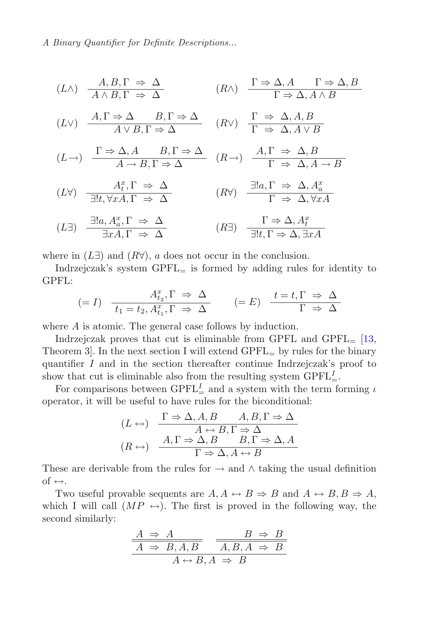$$
(L \wedge) \quad \frac{A, B, \Gamma \Rightarrow \Delta}{A \wedge B, \Gamma \Rightarrow \Delta} \qquad (R \wedge) \quad \frac{\Gamma \Rightarrow \Delta, A \quad \Gamma \Rightarrow \Delta, B}{\Gamma \Rightarrow \Delta, A \wedge B}
$$
\n
$$
(L \vee) \quad \frac{A, \Gamma \Rightarrow \Delta}{A \vee B, \Gamma \Rightarrow \Delta} \qquad (R \vee) \quad \frac{\Gamma \Rightarrow \Delta, A, B}{\Gamma \Rightarrow \Delta, A \vee B}
$$
\n
$$
(L \rightarrow) \quad \frac{\Gamma \Rightarrow \Delta, A \quad B, \Gamma \Rightarrow \Delta}{A \rightarrow B, \Gamma \Rightarrow \Delta} \qquad (R \rightarrow) \quad \frac{A, \Gamma \Rightarrow \Delta, B}{\Gamma \Rightarrow \Delta, A \rightarrow B}
$$
\n
$$
(L \forall) \quad \frac{A_t^x, \Gamma \Rightarrow \Delta}{\exists !t, \forall x A, \Gamma \Rightarrow \Delta} \qquad (R \forall) \quad \frac{\exists !a, \Gamma \Rightarrow \Delta, A_a^x}{\Gamma \Rightarrow \Delta, \forall x A}
$$
\n
$$
(L \exists) \quad \frac{\exists !a, A_a^x, \Gamma \Rightarrow \Delta}{\exists x A, \Gamma \Rightarrow \Delta} \qquad (R \exists) \quad \frac{\Gamma \Rightarrow \Delta, A_t^x}{\exists !t, \Gamma \Rightarrow \Delta, \exists x A}
$$

where in  $(L\exists)$  and  $(R\forall)$ , a does not occur in the conclusion.

Indrzejczak's system  $\text{GPEL}_{=}$  is formed by adding rules for identity to GPFL:

$$
(=I) \quad \frac{A_{t_2}^x, \Gamma \Rightarrow \Delta}{t_1 = t_2, A_{t_1}^x, \Gamma \Rightarrow \Delta} \qquad (=E) \quad \frac{t = t, \Gamma \Rightarrow \Delta}{\Gamma \Rightarrow \Delta}
$$

where A is atomic. The general case follows by induction.

Indrzejczak proves that cut is eliminable from GPFL and  $\text{GPEL}_{=}$  [\[13](#page-19-9), Theorem 3. In the next section I will extend  $\text{GPEL}_{=}$  by rules for the binary quantifier I and in the section thereafter continue Indrzejczak's proof to show that cut is eliminable also from the resulting system  $\text{GPFL}_{=}^I$ .

For comparisons between GPFL<sup>I</sup> and a system with the term forming  $\iota$ operator, it will be useful to have rules for the biconditional:

$$
(L \leftrightarrow) \quad \frac{\Gamma \Rightarrow \Delta, A, B \qquad A, B, \Gamma \Rightarrow \Delta}{A \leftrightarrow B, \Gamma \Rightarrow \Delta}
$$

$$
(R \leftrightarrow) \quad \frac{A, \Gamma \Rightarrow \Delta, B \qquad B, \Gamma \Rightarrow \Delta, A}{\Gamma \Rightarrow \Delta, A \leftrightarrow B}
$$

These are derivable from the rules for  $\rightarrow$  and  $\wedge$  taking the usual definition of  $\leftrightarrow$ .

Two useful provable sequents are  $A, A \leftrightarrow B \Rightarrow B$  and  $A \leftrightarrow B, B \Rightarrow A$ , which I will call  $(MP \leftrightarrow)$ . The first is proved in the following way, the second similarly:

$$
\frac{A \Rightarrow A}{A \Rightarrow B, A, B} \xrightarrow{\qquad} \frac{B \Rightarrow B}{A, B, A \Rightarrow B}
$$

$$
A \leftrightarrow B, A \Rightarrow B
$$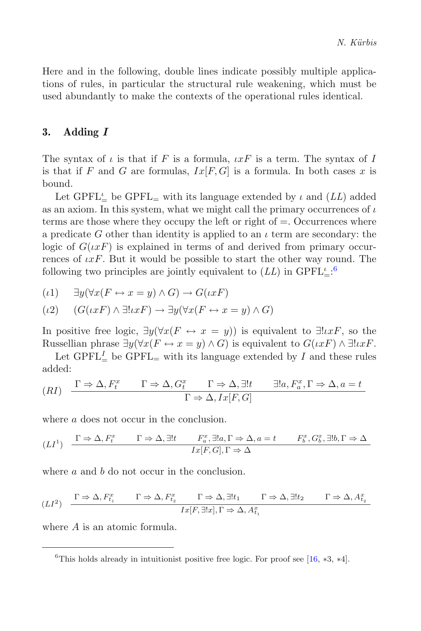Here and in the following, double lines indicate possibly multiple applications of rules, in particular the structural rule weakening, which must be used abundantly to make the contexts of the operational rules identical.

# **3. Adding** *I*

The syntax of  $\iota$  is that if F is a formula,  $\iota xF$  is a term. The syntax of I is that if F and G are formulas,  $Ix[F, G]$  is a formula. In both cases x is bound.

Let GPFL<sub> $\stackrel{\iota}{=}$ </sub> be GPFL<sub>=</sub> with its language extended by  $\iota$  and  $(LL)$  added as an axiom. In this system, what we might call the primary occurrences of  $\iota$ terms are those where they occupy the left or right of  $=$ . Occurrences where a predicate G other than identity is applied to an  $\iota$  term are secondary: the logic of  $G(\iota x F)$  is explained in terms of and derived from primary occurrences of  $\iota xF$ . But it would be possible to start the other way round. The following two principles are jointly equivalent to  $(LL)$  in  $\text{GPFL}_{\pm}^{\iota}$ .<sup>[6](#page-5-0)</sup>

$$
(\iota 1) \qquad \exists y (\forall x (F \leftrightarrow x = y) \land G) \to G(\iota x F)
$$

$$
(\iota 2) \qquad (G(\iota x F) \land \exists! \iota x F) \to \exists y (\forall x (F \leftrightarrow x = y) \land G)
$$

In positive free logic,  $\exists y(\forall x(F \leftrightarrow x = y))$  is equivalent to  $\exists! \iota x F$ , so the Russellian phrase  $\exists y(\forall x(F \leftrightarrow x=y) \land G)$  is equivalent to  $G(\iota xF) \land \exists ! \iota xF$ .

Let GPFL<sup>I</sup> be GPFL<sub>=</sub> with its language extended by I and these rules added:

$$
(RI) \quad \frac{\Gamma \Rightarrow \Delta, F_t^x \qquad \Gamma \Rightarrow \Delta, G_t^x \qquad \Gamma \Rightarrow \Delta, \exists! t \qquad \exists! a, F_a^x, \Gamma \Rightarrow \Delta, a = t \qquad \Gamma \Rightarrow \Delta, I_x[F, G]
$$

where a does not occur in the conclusion.

$$
(LI^1) \quad \frac{\Gamma \Rightarrow \Delta, F_t^x \qquad \Gamma \Rightarrow \Delta, \exists! t \qquad F_a^x, \exists! a, \Gamma \Rightarrow \Delta, a = t \qquad F_b^x, G_b^x, \exists! b, \Gamma \Rightarrow \Delta}{Ix[F, G], \Gamma \Rightarrow \Delta}
$$

where a and b do not occur in the conclusion.

$$
(LI^2) \quad \frac{\Gamma\Rightarrow\Delta, F_{t_1}^x \qquad \Gamma\Rightarrow\Delta, F_{t_2}^x \qquad \Gamma\Rightarrow\Delta, \exists! t_1 \qquad \Gamma\Rightarrow\Delta, \exists! t_2 \qquad \Gamma\Rightarrow\Delta, A_{t_2}^x \qquad \Gamma\Rightarrow\Delta, A_{t_2}^x \qquad \Gamma\Rightarrow\Delta, A_{t_2}^x \qquad \Gamma\Rightarrow\Delta, A_{t_1}^x \qquad \Gamma\Rightarrow\Delta, A_{t_2}^x \qquad \Gamma\Rightarrow\Delta, A_{t_2}^x \qquad \Gamma\Rightarrow\Delta, A_{t_2}^x \qquad \Gamma\Rightarrow\Delta, A_{t_2}^x \qquad \Gamma\Rightarrow\Delta, A_{t_2}^x \qquad \Gamma\Rightarrow\Delta, A_{t_2}^x \qquad \Gamma\Rightarrow\Delta, A_{t_2}^x \qquad \Gamma\Rightarrow\Delta, A_{t_2}^x \qquad \Gamma\Rightarrow\Delta, A_{t_2}^x \qquad \Gamma\Rightarrow\Delta, A_{t_2}^x \qquad \Gamma\Rightarrow\Delta, A_{t_2}^x \qquad \Gamma\Rightarrow\Delta, A_{t_2}^x \qquad \Gamma\Rightarrow\Delta, A_{t_2}^x \qquad \Gamma\Rightarrow\Delta, A_{t_2}^x \qquad \Gamma\Rightarrow\Delta, A_{t_2}^x \qquad \Gamma\Rightarrow\Delta, A_{t_2}^x \qquad \Gamma\Rightarrow\Delta, A_{t_2}^x \qquad \Gamma\Rightarrow\Delta, A_{t_2}^x \qquad \Gamma\Rightarrow\Delta, A_{t_2}^x \qquad \Gamma\Rightarrow\Delta, A_{t_2}^x \qquad \Gamma\Rightarrow\Delta, A_{t_2}^x \qquad \Gamma\Rightarrow\Delta, A_{t_2}^x \qquad \Gamma\Rightarrow\Delta, A_{t_2}^x \qquad \Gamma\Rightarrow\Delta, A_{t_2}^x \qquad \Gamma\Rightarrow\Delta, A_{t_2}^x \qquad \Gamma\Rightarrow\Delta, A_{t_2}^x \qquad \Gamma\Rightarrow\Delta, A_{t_2}^x \qquad \Gamma\Rightarrow\Delta, A_{t_2}^x \qquad \Gamma\Rightarrow\Delta, A_{t_2}^x \qquad \Gamma\Rightarrow\Delta, A_{t_2}^x \qquad \Gamma\Rightarrow\Delta, A_{t_2}^x \qquad \Gamma\Rightarrow\Delta, A_{t_2}^x \qquad \Gamma\Rightarrow\Delta, A_{t_2}^x \qquad \Gamma\Rightarrow\Delta, A_{t_2}^x \q
$$

where A is an atomic formula.

<span id="page-5-0"></span><sup>&</sup>lt;sup>6</sup>This holds already in intuitionist positive free logic. For proof see [\[16](#page-20-9),  $*3$ ,  $*4$ ].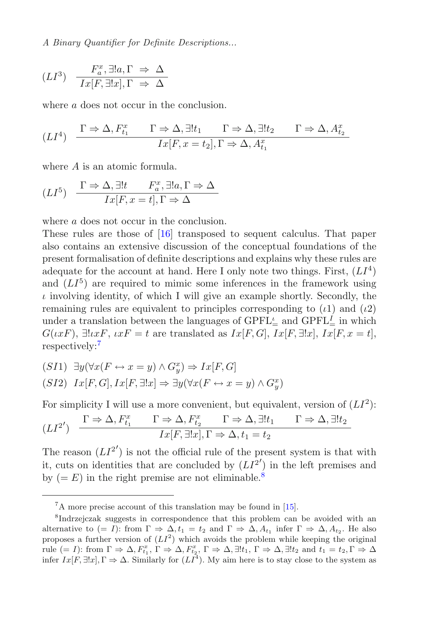$$
(LI^3) \quad \frac{F_a^x, \exists !a, \Gamma \Rightarrow \Delta}{Ix[F, \exists !x], \Gamma \Rightarrow \Delta}
$$

where a does not occur in the conclusion.

$$
(LI^4) \quad \frac{\Gamma \Rightarrow \Delta, F_{t_1}^x \qquad \Gamma \Rightarrow \Delta, \exists! t_1 \qquad \Gamma \Rightarrow \Delta, \exists! t_2 \qquad \Gamma \Rightarrow \Delta, A_{t_2}^x \qquad \qquad
$$

$$
Ix[F, x = t_2], \Gamma \Rightarrow \Delta, A_{t_1}^x \qquad \qquad
$$

where A is an atomic formula.

$$
(LI^5) \quad \frac{\Gamma \Rightarrow \Delta, \exists! t \qquad F_a^x, \exists! a, \Gamma \Rightarrow \Delta}{Ix[F, x=t], \Gamma \Rightarrow \Delta}
$$

where a does not occur in the conclusion.

These rules are those of [\[16\]](#page-20-9) transposed to sequent calculus. That paper also contains an extensive discussion of the conceptual foundations of the present formalisation of definite descriptions and explains why these rules are adequate for the account at hand. Here I only note two things. First,  $(LI<sup>4</sup>)$ and  $(LI<sup>5</sup>)$  are required to mimic some inferences in the framework using  $\iota$  involving identity, of which I will give an example shortly. Secondly, the remaining rules are equivalent to principles corresponding to  $(\iota 1)$  and  $(\iota 2)$ under a translation between the languages of  $\text{GPFL}_{\equiv}^{\iota}$  and  $\text{GPFL}_{\equiv}^{\iota}$  in which  $G(\iota x F)$ ,  $\exists ! \iota x F$ ,  $\iota x F = t$  are translated as  $I x[F, G]$ ,  $I x[F, \exists ! x]$ ,  $I x[F, x = t]$ , respectively:[7](#page-6-0)

$$
(S11) \exists y (\forall x (F \leftrightarrow x = y) \land G_y^x) \Rightarrow Ix[F, G]
$$
  

$$
(S12) \ Ix[F, G], Ix[F, \exists !x] \Rightarrow \exists y (\forall x (F \leftrightarrow x = y) \land G_y^x)
$$

For simplicity I will use a more convenient, but equivalent, version of  $(LI^2)$ :

$$
(LI2') \quad \frac{\Gamma \Rightarrow \Delta, F_{t_1}^x \qquad \Gamma \Rightarrow \Delta, F_{t_2}^x \qquad \Gamma \Rightarrow \Delta, \exists! t_1 \qquad \Gamma \Rightarrow \Delta, \exists! t_2 \qquad \qquad \text{Ix}[F, \exists! x], \Gamma \Rightarrow \Delta, t_1 = t_2
$$

The reason  $(LI^{2'})$  is not the official rule of the present system is that with it, cuts on identities that are concluded by  $(LI^{2'})$  in the left premises and by  $(= E)$  in the right premise are not eliminable.<sup>[8](#page-6-1)</sup>

<span id="page-6-2"></span><span id="page-6-0"></span><sup>7</sup>A more precise account of this translation may be found in [\[15\]](#page-20-12).

<span id="page-6-1"></span><sup>8</sup>Indrzejczak suggests in correspondence that this problem can be avoided with an alternative to  $(= I)$ : from  $\Gamma \Rightarrow \Delta, t_1 = t_2$  and  $\Gamma \Rightarrow \Delta, A_{t_1}$  infer  $\Gamma \Rightarrow \Delta, A_{t_2}$ . He also proposes a further version of  $(LI^2)$  which avoids the problem while keeping the original rule  $(= I)$ : from  $\Gamma \Rightarrow \Delta, F_{t_1}^x, \Gamma \Rightarrow \Delta, F_{t_2}^x, \Gamma \Rightarrow \Delta, \exists ! t_1, \Gamma \Rightarrow \Delta, \exists ! t_2 \text{ and } t_1 = t_2, \Gamma \Rightarrow \Delta$ infer  $I_x[F, \exists !x]$ ,  $\Gamma \Rightarrow \Delta$ . Similarly for  $(LI^4)$ . My aim here is to stay close to the system as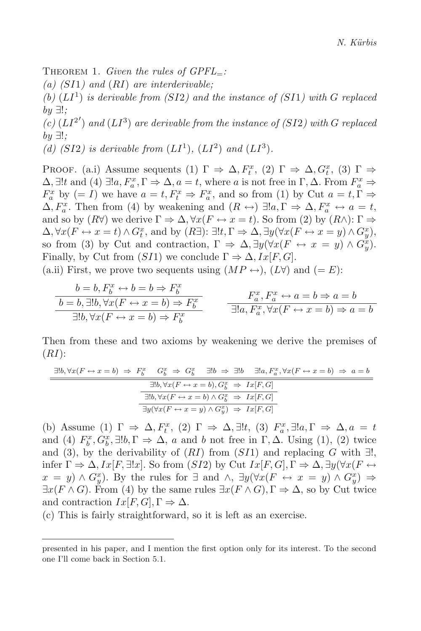Theorem 1. *Given the rules of GPFL*=*:*

*(a) (*SI1*) and* (RI) *are interderivable;*

 $(b)$   $(LI<sup>1</sup>)$  *is derivable from (SI2) and the instance of (SI1) with G replaced by* ∃!*;*

(c)  $(LI^{2'})$  *and*  $(LI^3)$  *are derivable from the instance of (SI2) with G replaced by* ∃!*;*

(d) (SI2) is derivable from  $(LI^1)$ ,  $(LI^2)$  and  $(LI^3)$ *.* 

PROOF. (a.i) Assume sequents (1)  $\Gamma \Rightarrow \Delta, F_t^x$ , (2)  $\Gamma \Rightarrow \Delta, G_t^x$ , (3)  $\Gamma \Rightarrow$  $\Delta$ ,  $\exists !t$  and  $(4)$   $\exists !a, F_a^x, \Gamma \Rightarrow \Delta, a = t$ , where a is not free in  $\Gamma, \Delta$ . From  $F_a^x \Rightarrow$  $F_a^x$  by  $(= I)$  we have  $a = t, F_t^x \Rightarrow F_a^x$ , and so from (1) by Cut  $a = t, \Gamma \Rightarrow$  $\Delta, F_a^x$ . Then from (4) by weakening and  $(R \leftrightarrow) \exists !a, \Gamma \Rightarrow \Delta, F_a^x \leftrightarrow a = t$ , and so by  $(R\forall)$  we derive  $\Gamma \Rightarrow \Delta, \forall x (F \leftrightarrow x = t)$ . So from (2) by  $(R \wedge) : \Gamma \Rightarrow$  $\Delta$ ,  $\forall x (F \leftrightarrow x = t) \land G_t^x$ , and by  $(R \exists)! \exists! t, \Gamma \Rightarrow \Delta$ ,  $\exists y (\forall x (F \leftrightarrow x = y) \land G_y^x)$ , so from (3) by Cut and contraction,  $\Gamma \Rightarrow \Delta$ ,  $\exists y (\forall x (F \leftrightarrow x = y) \land G_{y}^{x})$ . Finally, by Cut from  $(SI1)$  we conclude  $\Gamma \Rightarrow \Delta, Ix[F, G].$ 

(a.ii) First, we prove two sequents using  $(MP \leftrightarrow)$ ,  $(L\forall)$  and  $(= E)$ :

$$
\frac{b=b, F_b^x \leftrightarrow b=b \Rightarrow F_b^x}{b=b, \exists!b, \forall x (F \leftrightarrow x=b) \Rightarrow F_b^x} \qquad \frac{F_a^x, F_a^x \leftrightarrow a=b \Rightarrow a=b}{\exists!a, F_a^x, \forall x (F \leftrightarrow x=b) \Rightarrow a=b}
$$
  

$$
\frac{1}{a}, \frac{1}{b}, \frac{1}{c}, \frac{1}{d}, \frac{1}{d}, \frac{1}{d}, \frac{1}{d}, \frac{1}{d}, \frac{1}{d}, \frac{1}{d}, \frac{1}{d}, \frac{1}{d}, \frac{1}{d}, \frac{1}{d}, \frac{1}{d}, \frac{1}{d}, \frac{1}{d}, \frac{1}{d}, \frac{1}{d}, \frac{1}{d}, \frac{1}{d}, \frac{1}{d}, \frac{1}{d}, \frac{1}{d}, \frac{1}{d}, \frac{1}{d}, \frac{1}{d}, \frac{1}{d}, \frac{1}{d}, \frac{1}{d}, \frac{1}{d}, \frac{1}{d}, \frac{1}{d}, \frac{1}{d}, \frac{1}{d}, \frac{1}{d}, \frac{1}{d}, \frac{1}{d}, \frac{1}{d}, \frac{1}{d}, \frac{1}{d}, \frac{1}{d}, \frac{1}{d}, \frac{1}{d}, \frac{1}{d}, \frac{1}{d}, \frac{1}{d}, \frac{1}{d}, \frac{1}{d}, \frac{1}{d}, \frac{1}{d}, \frac{1}{d}, \frac{1}{d}, \frac{1}{d}, \frac{1}{d}, \frac{1}{d}, \frac{1}{d}, \frac{1}{d}, \frac{1}{d}, \frac{1}{d}, \frac{1}{d}, \frac{1}{d}, \frac{1}{d}, \frac{1}{d}, \frac{1}{d}, \frac{1}{d}, \frac{1}{d}, \frac{1}{d}, \frac{1}{d}, \frac{1}{d}, \frac{1}{d}, \frac{1}{d}, \frac{1}{d}, \frac{1}{d}, \frac{1}{d}, \frac{1}{d}, \frac{1}{d}, \frac{1}{d}, \frac{1}{d}, \frac{1}{d}, \frac{1}{d}, \frac{1}{d}, \frac{1}{d}, \frac{1}{d}, \frac{1}{d}, \frac{1}{d}, \frac{1}{d}, \frac{1}{d}, \frac{1}{d}, \frac{1}{d}, \frac{1}{d}, \frac{1}{d}, \frac{1}{d}, \frac{1}{d
$$

Then from these and two axioms by weakening we derive the premises of  $(RI)$ :

$$
\exists!b, \forall x (F \leftrightarrow x = b) \Rightarrow F_b^x \quad G_b^x \Rightarrow G_b^x \quad \exists!b \Rightarrow \exists!b \quad \exists!a, F_a^x, \forall x (F \leftrightarrow x = b) \Rightarrow a = b
$$
  

$$
\exists!b, \forall x (F \leftrightarrow x = b), G_b^x \Rightarrow Ix [F, G]
$$
  

$$
\overline{\exists!b, \forall x (F \leftrightarrow x = b) \land G_b^x \Rightarrow Ix [F, G]}
$$
  

$$
\overline{\exists y (\forall x (F \leftrightarrow x = y) \land G_y^x) \Rightarrow Ix [F, G]}
$$

(b) Assume (1)  $\Gamma \Rightarrow \Delta, F_t^x$ , (2)  $\Gamma \Rightarrow \Delta, \exists !t$ , (3)  $F_a^x$ ,  $\exists !a, \Gamma \Rightarrow \Delta, a = t$ and (4)  $F_b^x, G_b^x, \exists !b, \Gamma \Rightarrow \Delta$ , a and b not free in  $\Gamma, \Delta$ . Using (1), (2) twice and (3), by the derivability of  $(RI)$  from  $(SI1)$  and replacing G with  $\exists !$ , infer  $\Gamma \Rightarrow \Delta, Ix[F, \exists !x]$ . So from  $(SI2)$  by Cut  $Ix[F, G], \Gamma \Rightarrow \Delta, \exists y(\forall x(F \leftrightarrow G))$  $x = y$ ) ∧  $G_y^x$ ). By the rules for  $\exists$  and  $\wedge$ ,  $\exists y (\forall x (F \leftrightarrow x = y) \wedge G_y^x) \Rightarrow$  $\exists x(F \wedge G)$ . From (4) by the same rules  $\exists x(F \wedge G), \Gamma \Rightarrow \Delta$ , so by Cut twice and contraction  $Ix[F,G], \Gamma \Rightarrow \Delta$ .

(c) This is fairly straightforward, so it is left as an exercise.

presented in his paper, and I mention the first option only for its interest. To the second one I'll come back in Section 5.1.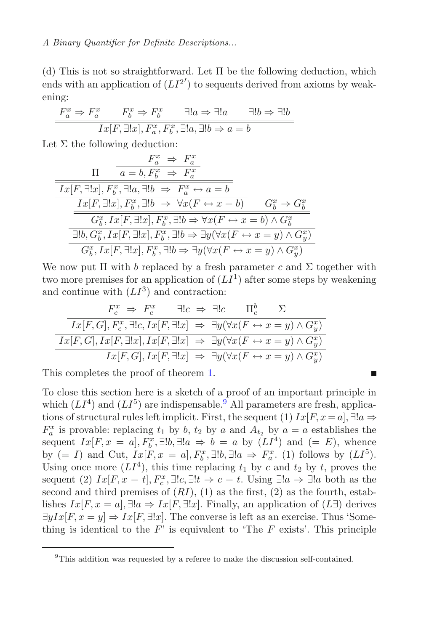(d) This is not so straightforward. Let Π be the following deduction, which ends with an application of  $(LI^{2'})$  to sequents derived from axioms by weakening:

$$
\frac{F_a^x \Rightarrow F_a^x \qquad F_b^x \Rightarrow F_b^x \qquad \exists! a \Rightarrow \exists! a \qquad \exists! b \Rightarrow \exists! b
$$

$$
Ix[F, \exists! x], F_a^x, F_b^x, \exists! a, \exists! b \Rightarrow a = b
$$

Let  $\Sigma$  the following deduction:

$$
\frac{F_a^x \Rightarrow F_a^x}{Ix[F, \exists !x], F_b^x, \exists !a, \exists !b \Rightarrow F_a^x \leftrightarrow a = b}
$$
\n
$$
\frac{Ix[F, \exists !x], F_b^x, \exists !a, \exists !b \Rightarrow F_a^x \leftrightarrow a = b}{G_b^x, Ix[F, \exists !x], F_b^x, \exists !b \Rightarrow \forall x(F \leftrightarrow x = b) \land G_b^x \Rightarrow G_b^x}
$$
\n
$$
\frac{G_b^x, Ix[F, \exists !x], F_b^x, \exists !b \Rightarrow \exists y(\forall x(F \leftrightarrow x = y) \land G_y^x)}{\forall G_b^x, Ix[F, \exists !x], F_b^x, \exists !b \Rightarrow \exists y(\forall x(F \leftrightarrow x = y) \land G_y^x)}
$$

We now put  $\Pi$  with b replaced by a fresh parameter c and  $\Sigma$  together with two more premises for an application of  $(LI<sup>1</sup>)$  after some steps by weakening and continue with  $(LI^3)$  and contraction:

$$
\frac{F_c^x \Rightarrow F_c^x \quad \exists! c \Rightarrow \exists! c \quad \Pi_c^b \quad \Sigma}{Ix[F, G], F_c^x, \exists! c, Ix[F, \exists! x] \Rightarrow \exists y (\forall x (F \leftrightarrow x = y) \land G_y^x)}
$$

$$
\frac{Ix[F, G], Ix[F, \exists! x], Ix[F, \exists! x] \Rightarrow \exists y (\forall x (F \leftrightarrow x = y) \land G_y^x)}{Ix[F, G], Ix[F, \exists! x] \Rightarrow \exists y (\forall x (F \leftrightarrow x = y) \land G_y^x)}
$$

This completes the proof of theorem [1.](#page-6-2)

To close this section here is a sketch of a proof of an important principle in which  $(LI<sup>4</sup>)$  and  $(LI<sup>5</sup>)$  are indispensable.<sup>[9](#page-8-0)</sup> All parameters are fresh, applications of structural rules left implicit. First, the sequent (1)  $Ix[F, x = a], \exists !a \Rightarrow$  $F_a^x$  is provable: replacing  $t_1$  by  $b$ ,  $t_2$  by  $a$  and  $A_{t_2}$  by  $a = a$  establishes the sequent  $Ix[F, x = a], F_b^x, \exists!b, \exists!a \Rightarrow b = a$  by  $(LI^4)$  and  $(= E)$ , whence by  $(= I)$  and Cut,  $I_x[F, x = a], F_b^x, \exists !b, \exists !a \Rightarrow F_a^x$ . (1) follows by  $(LI^5)$ . Using once more  $(LI<sup>4</sup>)$ , this time replacing  $t_1$  by c and  $t_2$  by t, proves the sequent (2)  $Ix[F, x = t], F_c^x, \exists!c, \exists!t \Rightarrow c = t$ . Using  $\exists!a \Rightarrow \exists!a$  both as the second and third premises of  $(RI)$ ,  $(1)$  as the first,  $(2)$  as the fourth, establishes  $Ix[F, x = a], \exists !a \Rightarrow Ix[F, \exists !x].$  Finally, an application of  $(L\exists)$  derives  $\exists yIx[F, x = y] \Rightarrow Ix[F, \exists !x]$ . The converse is left as an exercise. Thus 'Something is identical to the  $F'$  is equivalent to 'The  $F$  exists'. This principle

п

<span id="page-8-0"></span> $9$ This addition was requested by a referee to make the discussion self-contained.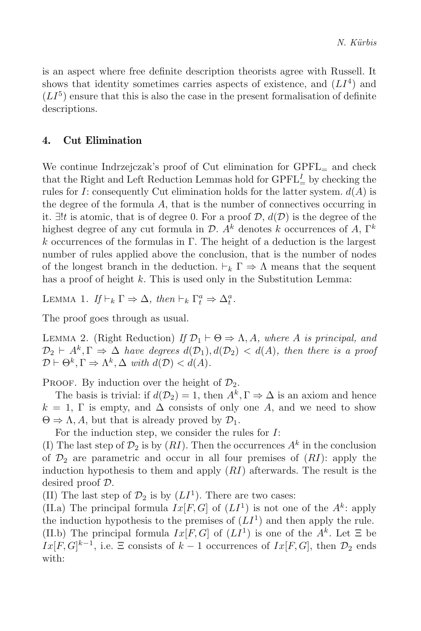is an aspect where free definite description theorists agree with Russell. It shows that identity sometimes carries aspects of existence, and  $(LI<sup>4</sup>)$  and  $(LI<sup>5</sup>)$  ensure that this is also the case in the present formalisation of definite descriptions.

# **4. Cut Elimination**

We continue Indrzejczak's proof of Cut elimination for  $\text{GPFL}_=$  and check that the Right and Left Reduction Lemmas hold for  $\text{GPFL}_{=}^I$  by checking the rules for I: consequently Cut elimination holds for the latter system.  $d(A)$  is the degree of the formula  $A$ , that is the number of connectives occurring in it.  $∃!t$  is atomic, that is of degree 0. For a proof  $D$ ,  $d(D)$  is the degree of the highest degree of any cut formula in  $\mathcal{D}$ . A<sup>k</sup> denotes k occurrences of A,  $\Gamma^k$ k occurrences of the formulas in Γ. The height of a deduction is the largest number of rules applied above the conclusion, that is the number of nodes of the longest branch in the deduction.  $\vdash_k \Gamma \Rightarrow \Lambda$  means that the sequent has a proof of height  $k$ . This is used only in the Substitution Lemma:

LEMMA 1.  $If \vdash_k \Gamma \Rightarrow \Delta$ , then  $\vdash_k \Gamma_t^a \Rightarrow \Delta_t^a$ .

The proof goes through as usual.

LEMMA 2. (Right Reduction) *If*  $\mathcal{D}_1 \vdash \Theta \Rightarrow \Lambda, A$ *, where* A *is principal, and*  $\mathcal{D}_2 \vdash A^k, \Gamma \Rightarrow \Delta$  *have degrees*  $d(\mathcal{D}_1), d(\mathcal{D}_2) < d(A)$ *, then there is a proof*  $\mathcal{D} \vdash \Theta^k, \Gamma \Rightarrow \Lambda^k, \Delta \text{ with } d(\mathcal{D}) < d(\overline{A}).$ 

PROOF. By induction over the height of  $\mathcal{D}_2$ .

The basis is trivial: if  $d(\mathcal{D}_2) = 1$ , then  $A^k, \Gamma \Rightarrow \Delta$  is an axiom and hence  $k = 1$ , Γ is empty, and  $\Delta$  consists of only one A, and we need to show  $\Theta \Rightarrow \Lambda, A$ , but that is already proved by  $\mathcal{D}_1$ .

For the induction step, we consider the rules for I:

(I) The last step of  $\mathcal{D}_2$  is by  $(RI)$ . Then the occurrences  $A^k$  in the conclusion of  $\mathcal{D}_2$  are parametric and occur in all four premises of  $(RI)$ : apply the induction hypothesis to them and apply  $(RI)$  afterwards. The result is the desired proof D.

(II) The last step of  $\mathcal{D}_2$  is by  $(LI^1)$ . There are two cases:

(II.a) The principal formula  $Ix[F, G]$  of  $(LI^1)$  is not one of the  $A^k$ : apply the induction hypothesis to the premises of  $(LI<sup>1</sup>)$  and then apply the rule. (II.b) The principal formula  $Ix[F, G]$  of  $(LI^1)$  is one of the  $A^k$ . Let  $\Xi$  be  $Ix[F,G]^{k-1}$ , i.e.  $\Xi$  consists of  $k-1$  occurrences of  $Ix[F,G]$ , then  $\mathcal{D}_2$  ends with: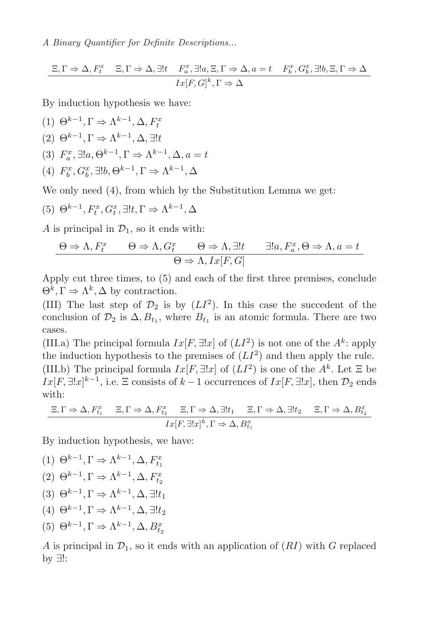$$
\Xi, \Gamma \Rightarrow \Delta, F_t^x \quad \Xi, \Gamma \Rightarrow \Delta, \exists! t \quad F_a^x, \exists! a, \Xi, \Gamma \Rightarrow \Delta, a = t \quad F_b^x, G_b^x, \exists! b, \Xi, \Gamma \Rightarrow \Delta
$$

$$
Ix[F, G]^k, \Gamma \Rightarrow \Delta
$$

By induction hypothesis we have:

(1)  $\Theta^{k-1}, \Gamma \Rightarrow \Lambda^{k-1}, \Delta, F_t^x$ (2)  $\Theta^{k-1}, \Gamma \Rightarrow \Lambda^{k-1}, \Delta, \exists ! t$ (3)  $F_a^x$ ,  $\exists !a, \Theta^{k-1}, \Gamma \Rightarrow \Lambda^{k-1}, \Delta, a = t$ (4)  $F_b^x, G_b^x, \exists !b, \Theta^{k-1}, \Gamma \Rightarrow \Lambda^{k-1}, \Delta$ 

We only need  $(4)$ , from which by the Substitution Lemma we get:

(5) 
$$
\Theta^{k-1}, F_t^x, G_t^x, \exists !t, \Gamma \Rightarrow \Lambda^{k-1}, \Delta
$$

A is principal in  $\mathcal{D}_1$ , so it ends with:

$$
\Theta \Rightarrow \Lambda, F_t^x \qquad \Theta \Rightarrow \Lambda, G_t^x \qquad \Theta \Rightarrow \Lambda, \exists! t \qquad \exists! a, F_a^x, \Theta \Rightarrow \Lambda, a = t
$$

$$
\Theta \Rightarrow \Lambda, Ix[F, G]
$$

Apply cut three times, to (5) and each of the first three premises, conclude  $\Theta^k, \Gamma \Rightarrow \Lambda^k, \Delta$  by contraction.

(III) The last step of  $\mathcal{D}_2$  is by  $(LI^2)$ . In this case the succedent of the conclusion of  $\mathcal{D}_2$  is  $\Delta, B_{t_1}$ , where  $B_{t_1}$  is an atomic formula. There are two cases.

(III.a) The principal formula  $Ix[F, \exists !x]$  of  $(LI^2)$  is not one of the  $A^k$ : apply the induction hypothesis to the premises of  $(LI^2)$  and then apply the rule. (III.b) The principal formula  $Ix[F, \exists !x]$  of  $(LI^2)$  is one of the  $A^k$ . Let  $\Xi$  be  $Ix[F, \exists !x]^{k-1}$ , i.e.  $\Xi$  consists of  $k-1$  occurrences of  $Ix[F, \exists !x]$ , then  $\mathcal{D}_2$  ends with:

$$
\frac{\Xi, \Gamma \Rightarrow \Delta, F_{t_1}^x \quad \Xi, \Gamma \Rightarrow \Delta, F_{t_2}^x \quad \Xi, \Gamma \Rightarrow \Delta, \exists! t_1 \quad \Xi, \Gamma \Rightarrow \Delta, \exists! t_2 \quad \Xi, \Gamma \Rightarrow \Delta, B_{t_2}^x \quad \Xi, \Gamma \Rightarrow \Delta, B_{t_2}^x \quad \Xi, \Gamma \Rightarrow \Delta, B_{t_1}^x \quad \Xi, \Gamma \Rightarrow \Delta, B_{t_2}^x \quad \Xi, \Gamma \Rightarrow \Delta, B_{t_1}^x \quad \Xi, \Gamma \Rightarrow \Delta, B_{t_2}^x \quad \Xi, \Gamma \Rightarrow \Delta, B_{t_2}^x \quad \Xi, \Gamma \Rightarrow \Delta, B_{t_2}^x \quad \Xi, \Gamma \Rightarrow \Delta, B_{t_2}^x \quad \Xi, \Gamma \Rightarrow \Delta, B_{t_2}^x \quad \Xi, \Gamma \Rightarrow \Delta, B_{t_2}^x \quad \Xi, \Gamma \Rightarrow \Delta, B_{t_2}^x \quad \Xi, \Gamma \Rightarrow \Delta, B_{t_2}^x \quad \Xi, \Gamma \Rightarrow \Delta, B_{t_2}^x \quad \Xi, \Gamma \Rightarrow \Delta, B_{t_2}^x \quad \Xi, \Gamma \Rightarrow \Delta, B_{t_2}^x \quad \Xi, \Gamma \Rightarrow \Delta, B_{t_2}^x \quad \Xi, \Gamma \Rightarrow \Delta, B_{t_2}^x \quad \Xi, \Gamma \Rightarrow \Delta, B_{t_2}^x \quad \Xi, \Gamma \Rightarrow \Delta, B_{t_2}^x \quad \Xi, \Gamma \Rightarrow \Delta, B_{t_2}^x \quad \Xi, \Gamma \Rightarrow \Delta, B_{t_2}^x \quad \Xi, \Gamma \Rightarrow \Delta, B_{t_2}^x \quad \Xi, \Gamma \Rightarrow \Delta, B_{t_2}^x \quad \Xi, \Gamma \Rightarrow \Delta, B_{t_2}^x \quad \Xi, \Gamma \Rightarrow \Delta, B_{t_2}^x \quad \Xi, \Gamma \Rightarrow \Delta, B_{t_2}^x \quad \Xi, \Gamma \Rightarrow \Delta, B_{t_2}^x \quad \Xi, \Gamma \Rightarrow \Delta, B_{t_2}^x \quad \Xi, \Gamma \Rightarrow \Delta, B_{t_2}^x \quad \Xi, \Gamma \Rightarrow \Delta, B_{t_2}^x \quad \Xi, \Gamma \Rightarrow \Delta, B_{t_2}^x \quad \Xi, \Gamma \Rightarrow \Delta, B_{t_2}^x \quad \Xi, \Gamma \Rightarrow \Delta, B_{t_2}^x \quad \Xi
$$

By induction hypothesis, we have:

(1)  $\Theta^{k-1}, \Gamma \Rightarrow \Lambda^{k-1}, \Delta, F_{t_1}^x$ (2)  $\Theta^{k-1}, \Gamma \Rightarrow \Lambda^{k-1}, \Delta, F_{t_2}^x$ (3)  $\Theta^{k-1}, \Gamma \Rightarrow \Lambda^{k-1}, \Delta, \exists ! t_1$ (4)  $\Theta^{k-1}, \Gamma \Rightarrow \Lambda^{k-1}, \Delta, \exists! t_2$ (5)  $\Theta^{k-1}, \Gamma \Rightarrow \Lambda^{k-1}, \Delta, B_{t_2}^x$ 

A is principal in  $\mathcal{D}_1$ , so it ends with an application of  $(RI)$  with G replaced by ∃!: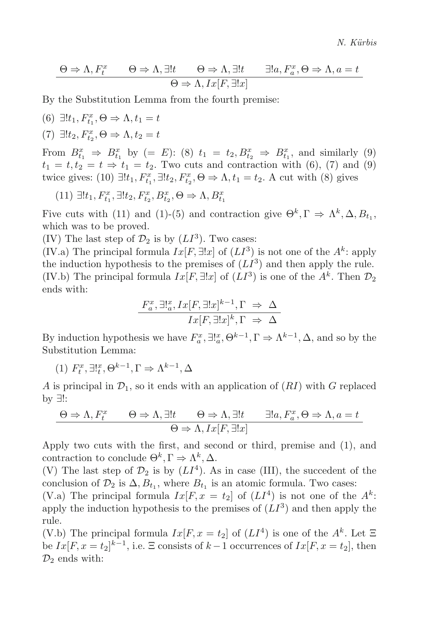$$
\Theta \Rightarrow \Lambda, F_t^x \qquad \Theta \Rightarrow \Lambda, \exists! t \qquad \Theta \Rightarrow \Lambda, \exists! t \qquad \exists! a, F_a^x, \Theta \Rightarrow \Lambda, a = t
$$

$$
\Theta \Rightarrow \Lambda, Ix[F, \exists! x]
$$

By the Substitution Lemma from the fourth premise:

(6) 
$$
\exists !t_1, F_{t_1}^x, \Theta \Rightarrow \Lambda, t_1 = t
$$
  
(7)  $\exists !t_2, F_{t_2}^x, \Theta \Rightarrow \Lambda, t_2 = t$ 

From  $B_{t_1}^x \Rightarrow B_{t_1}^x$  by  $(= E)$ : (8)  $t_1 = t_2, B_{t_2}^x \Rightarrow B_{t_1}^x$ , and similarly (9)  $t_1 = t, t_2 = t \Rightarrow t_1 = t_2$ . Two cuts and contraction with (6), (7) and (9) twice gives: (10)  $\exists ! t_1, F_{t_1}^x, \exists ! t_2, F_{t_2}^x, \Theta \Rightarrow \Lambda, t_1 = t_2$ . A cut with (8) gives

(11)  $\exists ! t_1, F_{t_1}^x, \exists ! t_2, F_{t_2}^x, B_{t_2}^x, \Theta \Rightarrow \Lambda, B_{t_1}^x$ 

Five cuts with (11) and (1)-(5) and contraction give  $\Theta^k$ ,  $\Gamma \Rightarrow \Lambda^k$ ,  $\Delta$ ,  $B_t$ , which was to be proved.

(IV) The last step of  $\mathcal{D}_2$  is by  $(LI^3)$ . Two cases:

(IV.a) The principal formula  $Ix[F, \exists !x]$  of  $(LI^3)$  is not one of the  $A^k$ : apply the induction hypothesis to the premises of  $(LI<sup>3</sup>)$  and then apply the rule. (IV.b) The principal formula  $Ix[F, \exists !x]$  of  $(LI^3)$  is one of the  $A^k$ . Then  $\mathcal{D}_2$ ends with:

$$
\frac{F_a^x, \exists! \, x \, Jx \, [F, \exists! x]^{k-1}, \Gamma \Rightarrow \Delta}{Ix \, [F, \exists! x]^k, \Gamma \Rightarrow \Delta}
$$

By induction hypothesis we have  $F_a^x$ ,  $\exists!_a^x$ ,  $\Theta^{k-1}$ ,  $\Gamma \Rightarrow \Lambda^{k-1}$ ,  $\Delta$ , and so by the Substitution Lemma:

(1)  $F_t^x$ ,  $\exists!_t^x$ ,  $\Theta^{k-1}$ ,  $\Gamma \Rightarrow \Lambda^{k-1}$ ,  $\Delta$ 

A is principal in  $\mathcal{D}_1$ , so it ends with an application of  $(RI)$  with G replaced by ∃!:

$$
\Theta \Rightarrow \Lambda, F_t^x \qquad \Theta \Rightarrow \Lambda, \exists! t \qquad \Theta \Rightarrow \Lambda, \exists! t \qquad \exists! a, F_a^x, \Theta \Rightarrow \Lambda, a = t
$$

$$
\Theta \Rightarrow \Lambda, Ix[F, \exists! x]
$$

Apply two cuts with the first, and second or third, premise and (1), and contraction to conclude  $\Theta^k, \Gamma \Rightarrow \Lambda^k, \Delta$ .

(V) The last step of  $\mathcal{D}_2$  is by  $(LI^4)$ . As in case (III), the succedent of the conclusion of  $\mathcal{D}_2$  is  $\Delta, B_{t_1}$ , where  $B_{t_1}$  is an atomic formula. Two cases:

(V.a) The principal formula  $Ix[F, x = t_2]$  of  $(LI^4)$  is not one of the  $A^k$ : apply the induction hypothesis to the premises of  $(LI<sup>3</sup>)$  and then apply the rule.

(V.b) The principal formula  $Ix[F, x = t_2]$  of  $(LI<sup>4</sup>)$  is one of the  $A<sup>k</sup>$ . Let  $\Xi$ be  $Ix[F, x = t_2]^{k-1}$ , i.e.  $\Xi$  consists of  $k-1$  occurrences of  $Ix[F, x = t_2]$ , then  $\mathcal{D}_2$  ends with: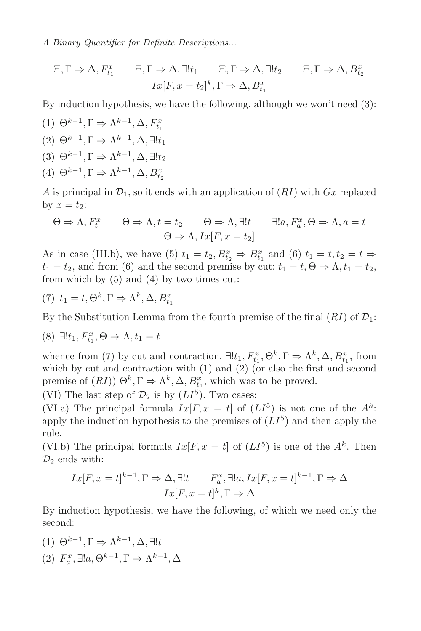$$
\frac{\Xi, \Gamma \Rightarrow \Delta, F_{t_1}^x \qquad \Xi, \Gamma \Rightarrow \Delta, \exists! t_1 \qquad \Xi, \Gamma \Rightarrow \Delta, \exists! t_2 \qquad \Xi, \Gamma \Rightarrow \Delta, B_{t_2}^x \qquad \Pi_x[F, x = t_2]^k, \Gamma \Rightarrow \Delta, B_{t_1}^x}
$$

By induction hypothesis, we have the following, although we won't need (3):

(1)  $\Theta^{k-1}, \Gamma \Rightarrow \Lambda^{k-1}, \Delta, F_{t_1}^x$  $(2) \Theta^{k-1}, \Gamma \Rightarrow \Lambda^{k-1}, \Delta, \exists! t_1$ (3)  $\Theta^{k-1}, \Gamma \Rightarrow \Lambda^{k-1}, \Delta, \exists! t_2$ (4)  $\Theta^{k-1}, \Gamma \Rightarrow \Lambda^{k-1}, \Delta, B_{t_2}^x$ 

A is principal in  $\mathcal{D}_1$ , so it ends with an application of  $(RI)$  with  $Gx$  replaced by  $x = t_2$ :

$$
\Theta \Rightarrow \Lambda, F_t^x \qquad \Theta \Rightarrow \Lambda, t = t_2 \qquad \Theta \Rightarrow \Lambda, \exists! t \qquad \exists! a, F_a^x, \Theta \Rightarrow \Lambda, a = t
$$

$$
\Theta \Rightarrow \Lambda, Ix[F, x = t_2]
$$

As in case (III.b), we have (5)  $t_1 = t_2, B_{t_2}^x \Rightarrow B_{t_1}^x$  and (6)  $t_1 = t, t_2 = t \Rightarrow$  $t_1 = t_2$ , and from (6) and the second premise by cut:  $t_1 = t, \Theta \Rightarrow \Lambda, t_1 = t_2$ , from which by (5) and (4) by two times cut:

(7) 
$$
t_1 = t, \Theta^k, \Gamma \Rightarrow \Lambda^k, \Delta, B_{t_1}^x
$$

By the Substitution Lemma from the fourth premise of the final  $(RI)$  of  $\mathcal{D}_1$ :

$$
(8) \ \exists! t_1, F_{t_1}^x, \Theta \Rightarrow \Lambda, t_1 = t
$$

whence from (7) by cut and contraction,  $\exists ! t_1, F_{t_1}^x, \Theta^k, \Gamma \Rightarrow \Lambda^k, \Delta, B_{t_1}^x$ , from which by cut and contraction with (1) and (2) (or also the first and second premise of  $(RI)$ )  $\Theta^k, \Gamma \Rightarrow \Lambda^k, \Delta, B^x_{t_1}$ , which was to be proved.

(VI) The last step of  $\mathcal{D}_2$  is by  $(LI^5)$ . Two cases:

(VI.a) The principal formula  $Ix[F, x = t]$  of  $(LI^5)$  is not one of the  $A^k$ : apply the induction hypothesis to the premises of  $(LI<sup>5</sup>)$  and then apply the rule.

(VI.b) The principal formula  $Ix[F, x = t]$  of  $(LI^5)$  is one of the  $A^k$ . Then  $\mathcal{D}_2$  ends with:

$$
\frac{Ix[F, x=t]^{k-1}, \Gamma \Rightarrow \Delta, \exists! t \qquad F_a^x, \exists! a, Ix[F, x=t]^{k-1}, \Gamma \Rightarrow \Delta}{Ix[F, x=t]^k, \Gamma \Rightarrow \Delta}
$$

By induction hypothesis, we have the following, of which we need only the second:

(1)  $\Theta^{k-1}, \Gamma \Rightarrow \Lambda^{k-1}, \Delta, \exists ! t$ (2)  $F_a^x, \exists !a, \Theta^{k-1}, \Gamma \Rightarrow \Lambda^{k-1}, \Delta$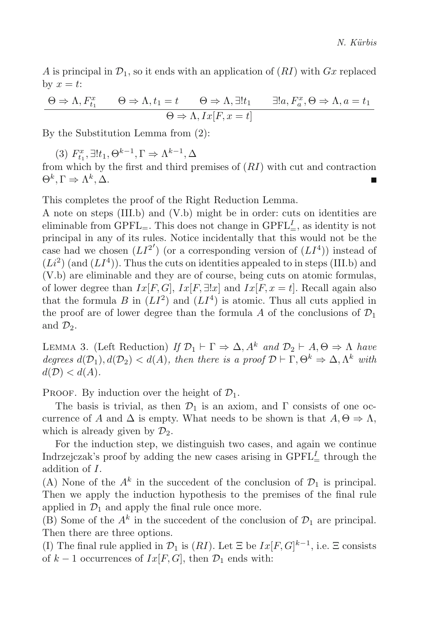A is principal in  $\mathcal{D}_1$ , so it ends with an application of  $(RI)$  with  $Gx$  replaced by  $x = t$ :

$$
\Theta \Rightarrow \Lambda, F_{t_1}^x \qquad \Theta \Rightarrow \Lambda, t_1 = t \qquad \Theta \Rightarrow \Lambda, \exists! t_1 \qquad \exists! a, F_a^x, \Theta \Rightarrow \Lambda, a = t_1
$$

$$
\Theta \Rightarrow \Lambda, Ix[F, x = t]
$$

By the Substitution Lemma from (2):

(3)  $F_{t_1}^x$ ,  $\exists !t_1, \Theta^{k-1}, \Gamma \Rightarrow \Lambda^{k-1}, \Delta$ 

from which by the first and third premises of  $(RI)$  with cut and contraction  $\Theta^k, \Gamma \Rightarrow \Lambda^k, \Delta.$ 

This completes the proof of the Right Reduction Lemma.

A note on steps (III.b) and (V.b) might be in order: cuts on identities are eliminable from  $\text{GPFL}_{=}$ . This does not change in  $\text{GPFL}_{=}^I$ , as identity is not principal in any of its rules. Notice incidentally that this would not be the case had we chosen  $(LI^{2'})$  (or a corresponding version of  $(LI^4)$ ) instead of  $(L<sup>2</sup>)$  (and  $(L<sup>4</sup>)$ ). Thus the cuts on identities appealed to in steps (III.b) and (V.b) are eliminable and they are of course, being cuts on atomic formulas, of lower degree than  $Ix[F, G], Ix[F, \exists !x]$  and  $Ix[F, x = t]$ . Recall again also that the formula B in  $(LI^2)$  and  $(LI^4)$  is atomic. Thus all cuts applied in the proof are of lower degree than the formula A of the conclusions of  $\mathcal{D}_1$ and  $\mathcal{D}_2$ .

LEMMA 3. (Left Reduction) *If*  $\mathcal{D}_1 \vdash \Gamma \Rightarrow \Delta$ ,  $A^k$  *and*  $\mathcal{D}_2 \vdash A$ ,  $\Theta \Rightarrow \Lambda$  *have degrees*  $d(D_1)$ ,  $d(D_2) < d(A)$ *, then there is a proof*  $D \vdash \Gamma, \Theta^k \Rightarrow \Delta, \Lambda^k$  *with*  $d(D) < d(A)$ .

PROOF. By induction over the height of  $\mathcal{D}_1$ .

The basis is trivial, as then  $\mathcal{D}_1$  is an axiom, and  $\Gamma$  consists of one occurrence of A and  $\Delta$  is empty. What needs to be shown is that  $A, \Theta \Rightarrow \Lambda$ , which is already given by  $\mathcal{D}_2$ .

For the induction step, we distinguish two cases, and again we continue Indrzejczak's proof by adding the new cases arising in  $\text{GPFL}_{=}^I$  through the addition of I.

(A) None of the  $A^k$  in the succedent of the conclusion of  $\mathcal{D}_1$  is principal. Then we apply the induction hypothesis to the premises of the final rule applied in  $\mathcal{D}_1$  and apply the final rule once more.

(B) Some of the  $A^k$  in the succedent of the conclusion of  $\mathcal{D}_1$  are principal. Then there are three options.

(I) The final rule applied in  $\mathcal{D}_1$  is  $(RI)$ . Let  $\Xi$  be  $Ix[F,G]^{k-1}$ , i.e.  $\Xi$  consists of  $k-1$  occurrences of  $Ix[F,G]$ , then  $\mathcal{D}_1$  ends with: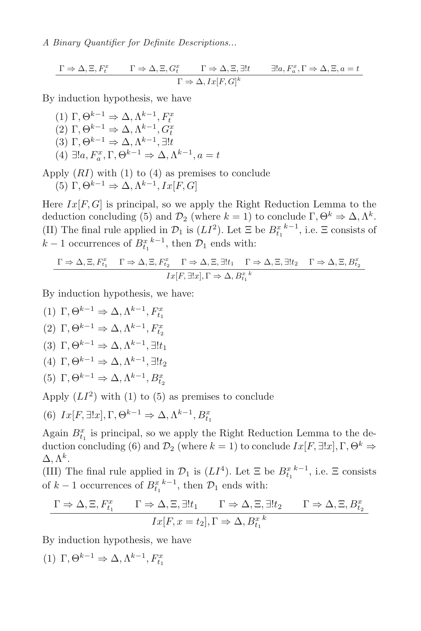$$
\frac{\Gamma \Rightarrow \Delta, \Xi, F_t^x \qquad \Gamma \Rightarrow \Delta, \Xi, G_t^x \qquad \Gamma \Rightarrow \Delta, \Xi, \exists !t \qquad \exists !a, F_a^x, \Gamma \Rightarrow \Delta, \Xi, a = t \qquad \Gamma \Rightarrow \Delta, Ix[F, G]^k}
$$

By induction hypothesis, we have

(1)  $\Gamma, \Theta^{k-1} \Rightarrow \Delta, \Lambda^{k-1}, F^x$ (2)  $\Gamma$ ,  $\Theta^{k-1} \Rightarrow \Delta$ ,  $\Lambda^{k-1}$ ,  $G_t^x$ (3)  $\Gamma$ ,  $\Theta^{k-1} \Rightarrow \Delta$ ,  $\Lambda^{k-1}$ ,  $\exists !t$ (4)  $\exists !a, F_a^x, \Gamma, \Theta^{k-1} \Rightarrow \Delta, \Lambda^{k-1}, a = t$ 

Apply  $(RI)$  with  $(1)$  to  $(4)$  as premises to conclude (5) Γ,  $\Theta^{k-1} \Rightarrow \Delta, \Lambda^{k-1}, Ix[F, G]$ 

Here  $Ix[F, G]$  is principal, so we apply the Right Reduction Lemma to the deduction concluding (5) and  $\mathcal{D}_2$  (where  $k = 1$ ) to conclude  $\Gamma, \Theta^k \Rightarrow \Delta, \Lambda^k$ . (II) The final rule applied in  $\mathcal{D}_1$  is  $(LI^2)$ . Let  $\Xi$  be  $B_{t_1}^{x^{k-1}}$ , i.e.  $\Xi$  consists of  $k-1$  occurrences of  $B_{t_1}^{x^{k-1}}$ , then  $\mathcal{D}_1$  ends with:

$$
\Gamma \Rightarrow \Delta, \Xi, F_{t_1}^x \quad \Gamma \Rightarrow \Delta, \Xi, F_{t_2}^x \quad \Gamma \Rightarrow \Delta, \Xi, \exists! t_1 \quad \Gamma \Rightarrow \Delta, \Xi, \exists! t_2 \quad \Gamma \Rightarrow \Delta, \Xi, B_{t_2}^x
$$

$$
Ix[F, \exists! x], \Gamma \Rightarrow \Delta, B_{t_1}^x
$$

By induction hypothesis, we have:

(1)  $\Gamma, \Theta^{k-1} \Rightarrow \Delta, \Lambda^{k-1}, F_{t_1}^x$ (2)  $\Gamma, \Theta^{k-1} \Rightarrow \Delta, \Lambda^{k-1}, F_{t_2}^x$ (3)  $\Gamma, \Theta^{k-1} \Rightarrow \Delta, \Lambda^{k-1}, \exists! t_1$ (4) Γ,  $\Theta^{k-1} \Rightarrow \Delta, \Lambda^{k-1}, \exists ! t_2$ (5)  $\Gamma, \Theta^{k-1} \Rightarrow \Delta, \Lambda^{k-1}, B_{t_2}^x$ 

Apply  $(LI^2)$  with (1) to (5) as premises to conclude

(6)  $Ix[F, \exists !x], \Gamma, \Theta^{k-1} \Rightarrow \Delta, \Lambda^{k-1}, B_{t_1}^x$ 

Again  $B_{t_1}^x$  is principal, so we apply the Right Reduction Lemma to the deduction concluding (6) and  $\mathcal{D}_2$  (where  $k = 1$ ) to conclude  $Ix[F, \exists !x], \Gamma, \Theta^k \Rightarrow$  $\Delta, \Lambda^k$ .

(III) The final rule applied in  $\mathcal{D}_1$  is  $(LI^4)$ . Let  $\Xi$  be  $B_{t_1}^{x^{k-1}}$ , i.e.  $\Xi$  consists of  $k-1$  occurrences of  $B_{t_1}^{x_k-1}$ , then  $\mathcal{D}_1$  ends with:

$$
\Gamma \Rightarrow \Delta, \Xi, F_{t_1}^x \qquad \Gamma \Rightarrow \Delta, \Xi, \exists! t_1 \qquad \Gamma \Rightarrow \Delta, \Xi, \exists! t_2 \qquad \Gamma \Rightarrow \Delta, \Xi, B_{t_2}^x
$$

$$
Ix[F, x = t_2], \Gamma \Rightarrow \Delta, B_{t_1}^x
$$

By induction hypothesis, we have

(1)  $\Gamma, \Theta^{k-1} \Rightarrow \Delta, \Lambda^{k-1}, F_{t_1}^x$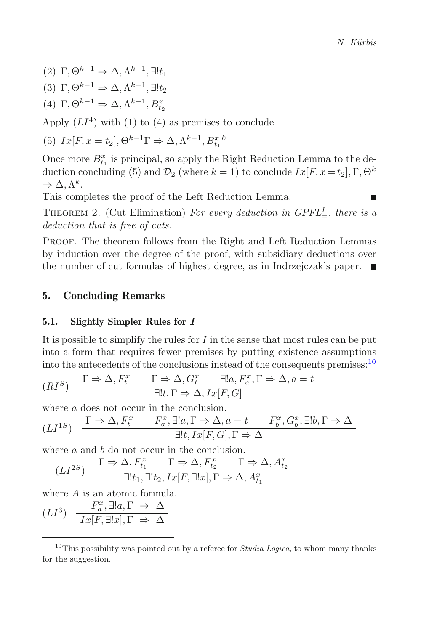(2)  $\Gamma, \Theta^{k-1} \Rightarrow \Delta, \Lambda^{k-1}, \exists! t_1$ 

- (3)  $\Gamma, \Theta^{k-1} \Rightarrow \Delta, \Lambda^{k-1}, \exists! t_2$
- (4)  $\Gamma, \Theta^{k-1} \Rightarrow \Delta, \Lambda^{k-1}, B_{t_2}^x$

Apply  $(LI<sup>4</sup>)$  with (1) to (4) as premises to conclude

(5) 
$$
Ix[F, x = t_2], \Theta^{k-1}\Gamma \Rightarrow \Delta, \Lambda^{k-1}, B_{t_1}^x
$$

Once more  $B_{t_1}^x$  is principal, so apply the Right Reduction Lemma to the deduction concluding (5) and  $\mathcal{D}_2$  (where  $k = 1$ ) to conclude  $Ix[F, x = t_2], \Gamma, \Theta^k$  $\Rightarrow \Delta, \Lambda^k$ .

This completes the proof of the Left Reduction Lemma.

THEOREM 2. (Cut Elimination) For every deduction in  $GPFL^I_{=}$ , there is a *deduction that is free of cuts.*

Proof. The theorem follows from the Right and Left Reduction Lemmas by induction over the degree of the proof, with subsidiary deductions over the number of cut formulas of highest degree, as in Indrzejczak's paper.

# **5. Concluding Remarks**

## **5.1. Slightly Simpler Rules for** *I*

It is possible to simplify the rules for  $I$  in the sense that most rules can be put into a form that requires fewer premises by putting existence assumptions into the antecedents of the conclusions instead of the consequents premises:<sup>[10](#page-15-0)</sup>

$$
(RI^S) \quad \frac{\Gamma \Rightarrow \Delta, F_t^x \qquad \Gamma \Rightarrow \Delta, G_t^x \qquad \exists !a, F_a^x, \Gamma \Rightarrow \Delta, a = t}{\exists !t, \Gamma \Rightarrow \Delta, Ix[F, G]}
$$

where a does not occur in the conclusion.

$$
(LI^{1S}) \quad \frac{\Gamma \Rightarrow \Delta, F_t^x \qquad F_a^x, \exists !a, \Gamma \Rightarrow \Delta, a = t \qquad F_b^x, G_b^x, \exists !b, \Gamma \Rightarrow \Delta}{\exists !t, Ix[F, G], \Gamma \Rightarrow \Delta}
$$

where a and b do not occur in the conclusion.

$$
(LI^{2S})\quad \frac{\Gamma\Rightarrow\Delta, F_{t_1}^x\qquad \Gamma\Rightarrow\Delta, F_{t_2}^x\qquad \Gamma\Rightarrow\Delta, A_{t_2}^x}{\exists! t_1, \exists! t_2, Ix[F,\exists! x], \Gamma\Rightarrow\Delta, A_{t_1}^x}
$$

where A is an atomic formula.

$$
(LI^3) \quad \frac{F_a^x, \exists !a, \Gamma \Rightarrow \Delta}{Ix[F, \exists !x], \Gamma \Rightarrow \Delta}
$$

<span id="page-15-0"></span><sup>10</sup>This possibility was pointed out by a referee for *Studia Logica*, to whom many thanks for the suggestion.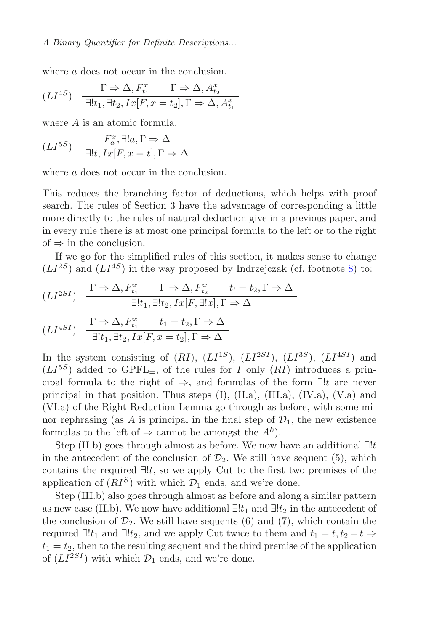where a does not occur in the conclusion.

$$
(LI^{4S}) \quad \frac{\Gamma \Rightarrow \Delta, F_{t_1}^x \qquad \Gamma \Rightarrow \Delta, A_{t_2}^x}{\exists ! t_1, \exists t_2, Ix[F, x = t_2], \Gamma \Rightarrow \Delta, A_{t_1}^x}
$$

where A is an atomic formula.

$$
(LI^{5S}) \quad \frac{F_a^x, \exists ! a, \Gamma \Rightarrow \Delta}{\exists ! t, Ix [F, x = t], \Gamma \Rightarrow \Delta}
$$

where a does not occur in the conclusion.

This reduces the branching factor of deductions, which helps with proof search. The rules of Section 3 have the advantage of corresponding a little more directly to the rules of natural deduction give in a previous paper, and in every rule there is at most one principal formula to the left or to the right of  $\Rightarrow$  in the conclusion.

If we go for the simplified rules of this section, it makes sense to change  $(LI^{2S})$  and  $(LI^{4S})$  in the way proposed by Indrzejczak (cf. footnote [8\)](#page-6-1) to:

$$
(LI^{2SI}) \quad \frac{\Gamma \Rightarrow \Delta, F_{t_1}^x \qquad \Gamma \Rightarrow \Delta, F_{t_2}^x \qquad t_1 = t_2, \Gamma \Rightarrow \Delta}{\exists ! t_1, \exists ! t_2, Ix[F, \exists !x], \Gamma \Rightarrow \Delta}
$$

$$
(LI^{4SI}) \quad \frac{\Gamma \Rightarrow \Delta, F_{t_1}^x \qquad t_1 = t_2, \Gamma \Rightarrow \Delta}{\exists ! t_1, \exists t_2, Ix[F, x = t_2], \Gamma \Rightarrow \Delta}
$$

In the system consisting of  $(RI)$ ,  $(LI^{1S})$ ,  $(LI^{2SI})$ ,  $(LI^{3S})$ ,  $(LI^{4SI})$  and  $(LI^{5S})$  added to GPFL<sub>=</sub>, of the rules for I only  $(RI)$  introduces a principal formula to the right of  $\Rightarrow$ , and formulas of the form  $\exists !t$  are never principal in that position. Thus steps  $(I)$ ,  $(II.a)$ ,  $(III.a)$ ,  $(IV.a)$ ,  $(V.a)$  and (VI.a) of the Right Reduction Lemma go through as before, with some minor rephrasing (as A is principal in the final step of  $\mathcal{D}_1$ , the new existence formulas to the left of  $\Rightarrow$  cannot be amongst the  $A^k$ ).

Step (II.b) goes through almost as before. We now have an additional  $\exists !t$ in the antecedent of the conclusion of  $\mathcal{D}_2$ . We still have sequent (5), which contains the required  $\exists !t$ , so we apply Cut to the first two premises of the application of  $(RI<sup>S</sup>)$  with which  $\mathcal{D}_1$  ends, and we're done.

Step (III.b) also goes through almost as before and along a similar pattern as new case (II.b). We now have additional  $\exists ! t_1$  and  $\exists ! t_2$  in the antecedent of the conclusion of  $\mathcal{D}_2$ . We still have sequents (6) and (7), which contain the required  $\exists ! t_1$  and  $\exists ! t_2$ , and we apply Cut twice to them and  $t_1 = t, t_2 = t \Rightarrow$  $t_1 = t_2$ , then to the resulting sequent and the third premise of the application of  $(LI^{2SI})$  with which  $\mathcal{D}_1$  ends, and we're done.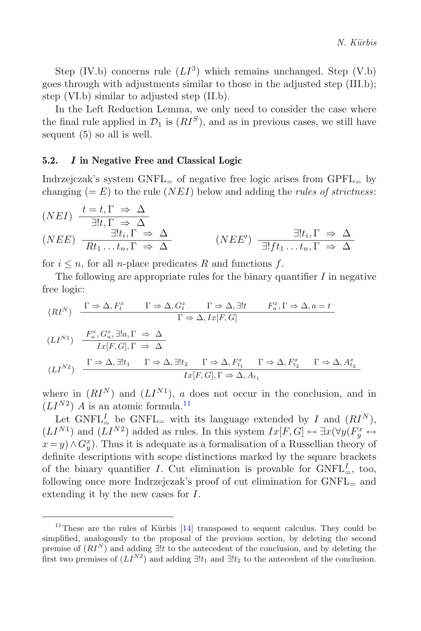Step (IV.b) concerns rule  $(LI^3)$  which remains unchanged. Step (V.b) goes through with adjustments similar to those in the adjusted step (III.b); step (VI.b) similar to adjusted step (II.b).

In the Left Reduction Lemma, we only need to consider the case where the final rule applied in  $\mathcal{D}_1$  is  $(RI^S)$ , and as in previous cases, we still have sequent (5) so all is well.

#### **5.2.** *I* **in Negative Free and Classical Logic**

Indrzejczak's system  $GNFL<sub>=</sub>$  of negative free logic arises from  $GPFL<sub>=</sub>$  by changing  $(= E)$  to the rule  $(N E I)$  below and adding the *rules of strictness*:

$$
(NEI) \frac{t = t, \Gamma \Rightarrow \Delta}{\exists ! t, \Gamma \Rightarrow \Delta}
$$
  

$$
(NEE) \frac{\exists ! t, \Gamma \Rightarrow \Delta}{Rt_1 \dots t_n, \Gamma \Rightarrow \Delta}
$$
  

$$
(NEE') \frac{\exists ! t_i, \Gamma \Rightarrow \Delta}{\exists ! f t_1 \dots t_n, \Gamma \Rightarrow \Delta}
$$

for  $i \leq n$ , for all *n*-place predicates R and functions f.

The following are appropriate rules for the binary quantifier  $I$  in negative free logic:

$$
(RI^N) \frac{\Gamma \Rightarrow \Delta, F_t^x \Gamma \Rightarrow \Delta, G_t^x \Gamma \Rightarrow \Delta, \exists!t \quad F_a^x, \Gamma \Rightarrow \Delta, a = t \Gamma \Rightarrow \Delta, I_x[F, G]}
$$
  

$$
(LI^{N1}) \frac{F_a^x, G_a^x, \exists!a, \Gamma \Rightarrow \Delta}{I_x[F, G], \Gamma \Rightarrow \Delta}
$$
  

$$
(LI^{N2}) \frac{\Gamma \Rightarrow \Delta, \exists!t_1 \quad \Gamma \Rightarrow \Delta, \exists!t_2 \quad \Gamma \Rightarrow \Delta, F_{t_1}^x \quad \Gamma \Rightarrow \Delta, F_{t_2}^x \quad \Gamma \Rightarrow \Delta, A_{t_2}^x \Gamma \Rightarrow \Delta, A_{t_1}^x \quad \Gamma \Rightarrow \Delta, A_{t_2}^x \quad \Gamma \Rightarrow \Delta, A_{t_2}^x \quad \Gamma \Rightarrow \Delta, A_{t_1}^x \quad \Gamma \Rightarrow \Delta, A_{t_2}^x \quad \Gamma \Rightarrow \Delta, A_{t_2}^x \quad \Gamma \Rightarrow \Delta, A_{t_1}^x \quad \Gamma \Rightarrow \Delta, A_{t_2}^x \quad \Gamma \Rightarrow \Delta, A_{t_2}^x \quad \Gamma \Rightarrow \Delta, A_{t_1}^x \quad \Gamma \Rightarrow \Delta, A_{t_2}^x \quad \Gamma \Rightarrow \Delta, A_{t_2}^x \quad \Gamma \Rightarrow \Delta, A_{t_1}^x \quad \Gamma \Rightarrow \Delta, A_{t_2}^x \quad \Gamma \Rightarrow \Delta, A_{t_2}^x \quad \Gamma \Rightarrow \Delta, A_{t_1}^x \quad \Gamma \Rightarrow \Delta, A_{t_2}^x \quad \Gamma \Rightarrow \Delta, A_{t_2}^x \quad \Gamma \Rightarrow \Delta, A_{t_2}^x \quad \Gamma \Rightarrow \Delta, A_{t_2}^x \quad \Gamma \Rightarrow \Delta, A_{t_2}^x \quad \Gamma \Rightarrow \Delta, A_{t_2}^x \quad \Gamma \Rightarrow \Delta, A_{t_2}^x \quad \Gamma \Rightarrow \Delta, A_{t_2}^x \quad \Gamma \Rightarrow \Delta, A_{t_2}^x \quad \Gamma \Rightarrow \Delta, A_{t_2}^x \quad \Gamma \Rightarrow \Delta, A_{t_2}^x \quad \Gamma \Rightarrow \Delta, A_{t_2}^x \quad \Gamma \Rightarrow \Delta, A_{t_2}^x \quad \Gamma \Rightarrow \Delta, A_{t_2}^x \quad \Gamma \Rightarrow \Delta, A_{t_2}^x \quad \Gamma \Rightarrow \Delta, A_{t_2}^x \
$$

where in  $(RI<sup>N</sup>)$  and  $(LI<sup>N1</sup>)$ , a does not occur in the conclusion, and in  $(LI^{N2})$  A is an atomic formula.<sup>[11](#page-17-0)</sup>

Let GNFL<sup>I</sup> be GNFL<sub>=</sub> with its language extended by I and  $(RI^N)$ ,  $(LI^{N1})$  and  $(LI^{N2})$  added as rules. In this system  $Ix[F,G] \leftrightarrow \exists x(\forall y(F_y^x \leftrightarrow$  $x = y \land G_y^x$ ). Thus it is adequate as a formalisation of a Russellian theory of definite descriptions with scope distinctions marked by the square brackets of the binary quantifier I. Cut elimination is provable for  $GNFL<sup>I</sup><sub>=</sub>$ , too, following once more Indrzejczak's proof of cut elimination for  $GNFL<sub>=</sub>$  and extending it by the new cases for I.

<span id="page-17-0"></span><sup>&</sup>lt;sup>11</sup>These are the rules of Kürbis  $[14]$  transposed to sequent calculus. They could be simplified, analogously to the proposal of the previous section, by deleting the second premise of (*RI<sup>N</sup>* ) and adding <sup>∃</sup>!*<sup>t</sup>* to the antecedent of the conclusion, and by deleting the first two premises of  $(LI^{N2})$  and adding  $\exists ! t_1$  and  $\exists ! t_2$  to the antecedent of the conclusion.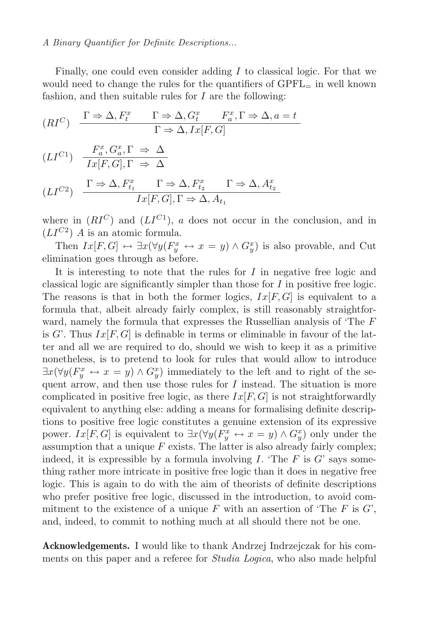Finally, one could even consider adding  $I$  to classical logic. For that we would need to change the rules for the quantifiers of  $\text{GPFL}_{=}$  in well known fashion, and then suitable rules for  $I$  are the following:

$$
(RI^C) \quad \frac{\Gamma \Rightarrow \Delta, F_t^x \qquad \Gamma \Rightarrow \Delta, G_t^x \qquad F_a^x, \Gamma \Rightarrow \Delta, a = t}{\Gamma \Rightarrow \Delta, Ix[F, G]}
$$

$$
(LI^{C1}) \quad \frac{F_a^x, G_a^x, \Gamma \Rightarrow \Delta}{Ix[F, G], \Gamma \Rightarrow \Delta}
$$

$$
(LI^{C2}) \quad \frac{\Gamma \Rightarrow \Delta, F_{t_1}^x \qquad \Gamma \Rightarrow \Delta, F_{t_2}^x \qquad \Gamma \Rightarrow \Delta, A_{t_2}^x}{Ix[F, G], \Gamma \Rightarrow \Delta, A_{t_1}}
$$

where in  $(RI^C)$  and  $(LI^{C_1})$ , a does not occur in the conclusion, and in  $(LI^{C2})$  A is an atomic formula.

Then  $Ix[F,G] \leftrightarrow \exists x(\forall y(F_y^x \leftrightarrow x=y) \land G_y^x)$  is also provable, and Cut elimination goes through as before.

It is interesting to note that the rules for  $I$  in negative free logic and classical logic are significantly simpler than those for  $I$  in positive free logic. The reasons is that in both the former logics,  $Ix[F,G]$  is equivalent to a formula that, albeit already fairly complex, is still reasonably straightforward, namely the formula that expresses the Russellian analysis of 'The F is G'. Thus  $Ix[F, G]$  is definable in terms or eliminable in favour of the latter and all we are required to do, should we wish to keep it as a primitive nonetheless, is to pretend to look for rules that would allow to introduce  $\exists x (\forall y (F_y^x \leftrightarrow x = y) \land G_y^x)$  immediately to the left and to right of the sequent arrow, and then use those rules for  $I$  instead. The situation is more complicated in positive free logic, as there  $Ix[F, G]$  is not straightforwardly equivalent to anything else: adding a means for formalising definite descriptions to positive free logic constitutes a genuine extension of its expressive power.  $Ix[F,G]$  is equivalent to  $\exists x(\forall y(F_y^x \leftrightarrow x=y) \land G_y^x)$  only under the assumption that a unique  $F$  exists. The latter is also already fairly complex; indeed, it is expressible by a formula involving I. The F is  $G'$  says something rather more intricate in positive free logic than it does in negative free logic. This is again to do with the aim of theorists of definite descriptions who prefer positive free logic, discussed in the introduction, to avoid commitment to the existence of a unique F with an assertion of 'The F is  $G'$ ', and, indeed, to commit to nothing much at all should there not be one.

**Acknowledgements.** I would like to thank Andrzej Indrzejczak for his comments on this paper and a referee for *Studia Logica*, who also made helpful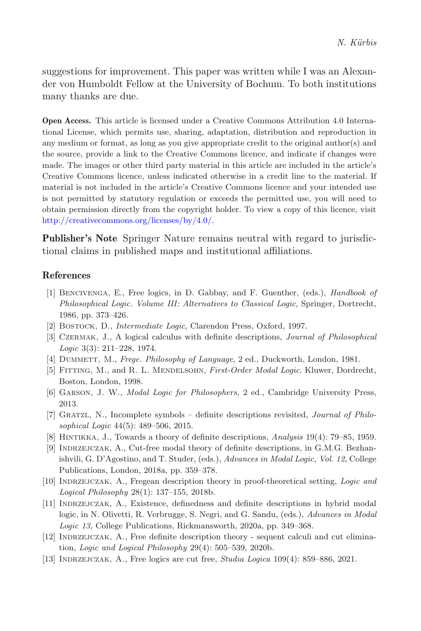suggestions for improvement. This paper was written while I was an Alexander von Humboldt Fellow at the University of Bochum. To both institutions many thanks are due.

**Open Access.** This article is licensed under a Creative Commons Attribution 4.0 International License, which permits use, sharing, adaptation, distribution and reproduction in any medium or format, as long as you give appropriate credit to the original author(s) and the source, provide a link to the Creative Commons licence, and indicate if changes were made. The images or other third party material in this article are included in the article's Creative Commons licence, unless indicated otherwise in a credit line to the material. If material is not included in the article's Creative Commons licence and your intended use is not permitted by statutory regulation or exceeds the permitted use, you will need to obtain permission directly from the copyright holder. To view a copy of this licence, visit [http://creativecommons.org/licenses/by/4.0/.](http://creativecommons.org/licenses/by/4.0/)

**Publisher's Note** Springer Nature remains neutral with regard to jurisdictional claims in published maps and institutional affiliations.

## **References**

- <span id="page-19-4"></span>[1] Bencivenga, E., Free logics, in D. Gabbay, and F. Guenther, (eds.), *Handbook of Philosophical Logic. Volume III: Alternatives to Classical Logic,* Springer, Dortrecht, 1986, pp. 373–426.
- <span id="page-19-10"></span>[2] Bostock, D., *Intermediate Logic*, Clarendon Press, Oxford, 1997.
- <span id="page-19-2"></span>[3] Czermak, J., A logical calculus with definite descriptions, *Journal of Philosophical Logic* 3(3): 211–228, 1974.
- <span id="page-19-8"></span>[4] Dummett, M., *Frege. Philosophy of Language*, 2 ed., Duckworth, London, 1981.
- <span id="page-19-6"></span>[5] Fitting, M., and R. L. Mendelsohn, *First-Order Modal Logic*. Kluwer, Dordrecht, Boston, London, 1998.
- <span id="page-19-7"></span>[6] Garson, J. W., *Modal Logic for Philosophers,* 2 ed., Cambridge University Press, 2013.
- <span id="page-19-3"></span>[7] Gratzl, N., Incomplete symbols – definite descriptions revisited, *Journal of Philosophical Logic* 44(5): 489–506, 2015.
- <span id="page-19-5"></span>[8] Hintikka, J., Towards a theory of definite descriptions, *Analysis* 19(4): 79–85, 1959.
- <span id="page-19-0"></span>[9] Indrzejczak, A., Cut-free modal theory of definite descriptions, in G.M.G. Bezhanishvili, G. D'Agostino, and T. Studer, (eds.), *Advances in Modal Logic, Vol. 12,* College Publications, London, 2018a, pp. 359–378.
- [10] Indrzejczak, A., Fregean description theory in proof-theoretical setting, *Logic and Logical Philosophy* 28(1): 137–155, 2018b.
- [11] Indrzejczak, A., Existence, definedness and definite descriptions in hybrid modal logic, in N. Olivetti, R. Verbrugge, S. Negri, and G. Sandu, (eds.), *Advances in Modal Logic 13,* College Publications, Rickmansworth, 2020a, pp. 349–368.
- <span id="page-19-1"></span>[12] Indrzejczak, A., Free definite description theory - sequent calculi and cut elimination, *Logic and Logical Philosophy* 29(4): 505–539, 2020b.
- <span id="page-19-9"></span>[13] Indrzejczak, A., Free logics are cut free, *Studia Logica* 109(4): 859–886, 2021.